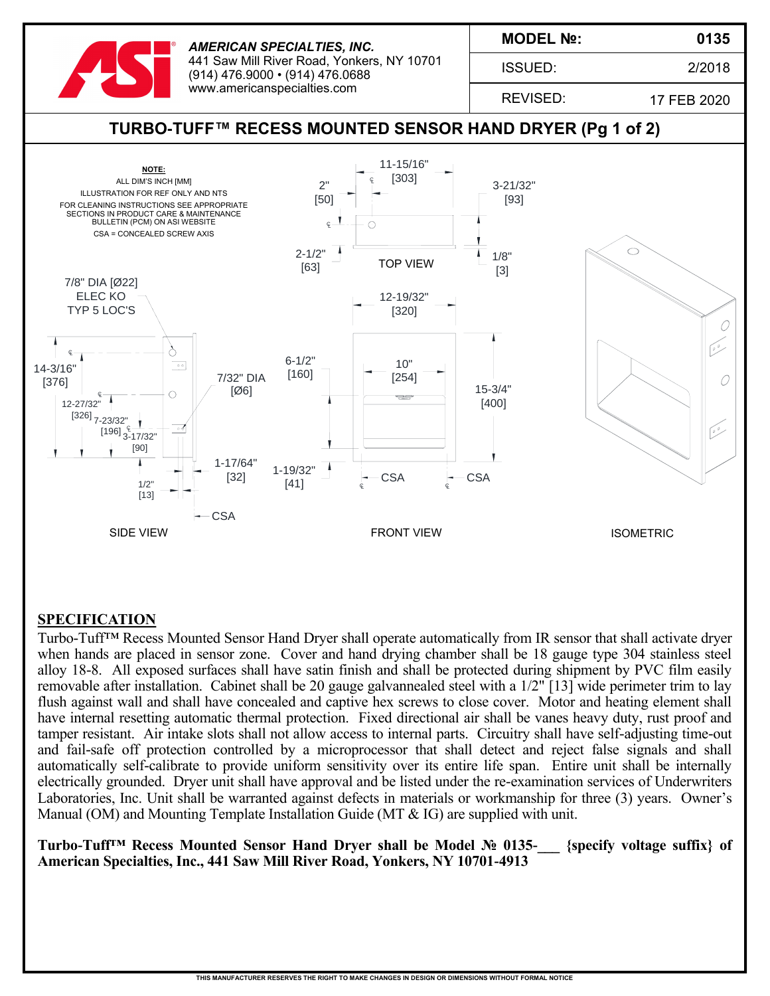

*AMERICAN SPECIALTIES, INC.* 441 Saw Mill River Road, Yonkers, NY 10701 (914) 476.9000 • (914) 476.0688 www.americanspecialties.com

**MODEL №:**

ISSUED:

2/2018

**0135**

REVISED:

17 FEB 2020



## **SPECIFICATION**

Turbo-Tuff<sup>™</sup> Recess Mounted Sensor Hand Dryer shall operate automatically from IR sensor that shall activate dryer when hands are placed in sensor zone. Cover and hand drying chamber shall be 18 gauge type 304 stainless steel alloy 18-8. All exposed surfaces shall have satin finish and shall be protected during shipment by PVC film easily removable after installation. Cabinet shall be 20 gauge galvannealed steel with a 1/2" [13] wide perimeter trim to lay flush against wall and shall have concealed and captive hex screws to close cover. Motor and heating element shall have internal resetting automatic thermal protection. Fixed directional air shall be vanes heavy duty, rust proof and tamper resistant. Air intake slots shall not allow access to internal parts. Circuitry shall have self-adjusting time-out and fail-safe off protection controlled by a microprocessor that shall detect and reject false signals and shall automatically self-calibrate to provide uniform sensitivity over its entire life span. Entire unit shall be internally electrically grounded. Dryer unit shall have approval and be listed under the re-examination services of Underwriters Laboratories, Inc. Unit shall be warranted against defects in materials or workmanship for three (3) years. Owner's Manual (OM) and Mounting Template Installation Guide (MT & IG) are supplied with unit.

**Turbo-Tuff™ Recess Mounted Sensor Hand Dryer shall be Model № 0135-\_\_\_ {specify voltage suffix} of American Specialties, Inc., 441 Saw Mill River Road, Yonkers, NY 10701-4913**